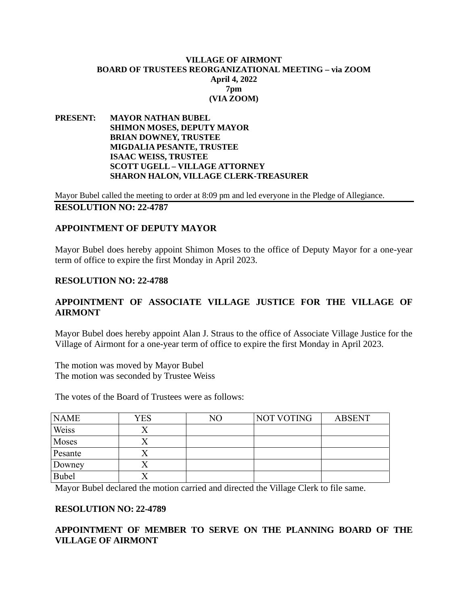#### **VILLAGE OF AIRMONT BOARD OF TRUSTEES REORGANIZATIONAL MEETING – via ZOOM April 4, 2022 7pm (VIA ZOOM)**

**PRESENT: MAYOR NATHAN BUBEL SHIMON MOSES, DEPUTY MAYOR BRIAN DOWNEY, TRUSTEE MIGDALIA PESANTE, TRUSTEE ISAAC WEISS, TRUSTEE SCOTT UGELL – VILLAGE ATTORNEY SHARON HALON, VILLAGE CLERK-TREASURER**

Mayor Bubel called the meeting to order at 8:09 pm and led everyone in the Pledge of Allegiance. **RESOLUTION NO: 22-4787** 

#### **APPOINTMENT OF DEPUTY MAYOR**

Mayor Bubel does hereby appoint Shimon Moses to the office of Deputy Mayor for a one-year term of office to expire the first Monday in April 2023.

#### **RESOLUTION NO: 22-4788**

# **APPOINTMENT OF ASSOCIATE VILLAGE JUSTICE FOR THE VILLAGE OF AIRMONT**

Mayor Bubel does hereby appoint Alan J. Straus to the office of Associate Village Justice for the Village of Airmont for a one-year term of office to expire the first Monday in April 2023.

The motion was moved by Mayor Bubel The motion was seconded by Trustee Weiss

The votes of the Board of Trustees were as follows:

| <b>NAME</b>  | <b>YES</b> | NO | <b>NOT VOTING</b> | <b>ABSENT</b> |
|--------------|------------|----|-------------------|---------------|
| Weiss        |            |    |                   |               |
| Moses        |            |    |                   |               |
| Pesante      |            |    |                   |               |
| Downey       |            |    |                   |               |
| <b>Bubel</b> |            |    |                   |               |

Mayor Bubel declared the motion carried and directed the Village Clerk to file same.

### **RESOLUTION NO: 22-4789**

# **APPOINTMENT OF MEMBER TO SERVE ON THE PLANNING BOARD OF THE VILLAGE OF AIRMONT**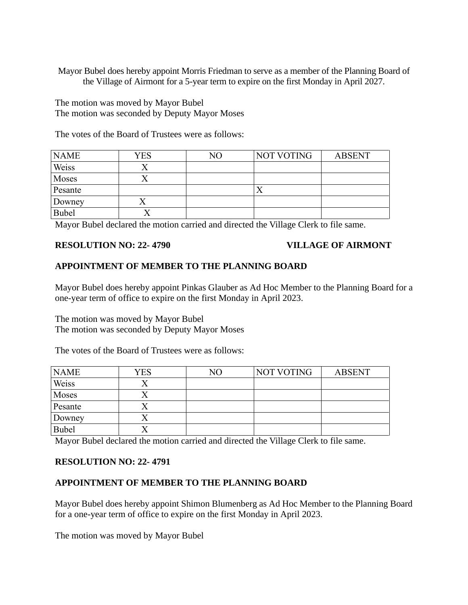Mayor Bubel does hereby appoint Morris Friedman to serve as a member of the Planning Board of the Village of Airmont for a 5-year term to expire on the first Monday in April 2027.

The motion was moved by Mayor Bubel The motion was seconded by Deputy Mayor Moses

The votes of the Board of Trustees were as follows:

| <b>NAME</b> | <b>YES</b> | NO | NOT VOTING | <b>ABSENT</b> |
|-------------|------------|----|------------|---------------|
| Weiss       |            |    |            |               |
| Moses       |            |    |            |               |
| Pesante     |            |    |            |               |
| Downey      | ↗          |    |            |               |
| Bubel       |            |    |            |               |

Mayor Bubel declared the motion carried and directed the Village Clerk to file same.

# **RESOLUTION NO: 22- 4790 VILLAGE OF AIRMONT**

# **APPOINTMENT OF MEMBER TO THE PLANNING BOARD**

Mayor Bubel does hereby appoint Pinkas Glauber as Ad Hoc Member to the Planning Board for a one-year term of office to expire on the first Monday in April 2023.

The motion was moved by Mayor Bubel The motion was seconded by Deputy Mayor Moses

The votes of the Board of Trustees were as follows:

| <b>NAME</b> | <b>YES</b> | NO | <b>NOT VOTING</b> | <b>ABSENT</b> |
|-------------|------------|----|-------------------|---------------|
| Weiss       |            |    |                   |               |
| Moses       |            |    |                   |               |
| Pesante     | △          |    |                   |               |
| Downey      | ∧          |    |                   |               |
| Bubel       |            |    |                   |               |

Mayor Bubel declared the motion carried and directed the Village Clerk to file same.

# **RESOLUTION NO: 22- 4791**

# **APPOINTMENT OF MEMBER TO THE PLANNING BOARD**

Mayor Bubel does hereby appoint Shimon Blumenberg as Ad Hoc Member to the Planning Board for a one-year term of office to expire on the first Monday in April 2023.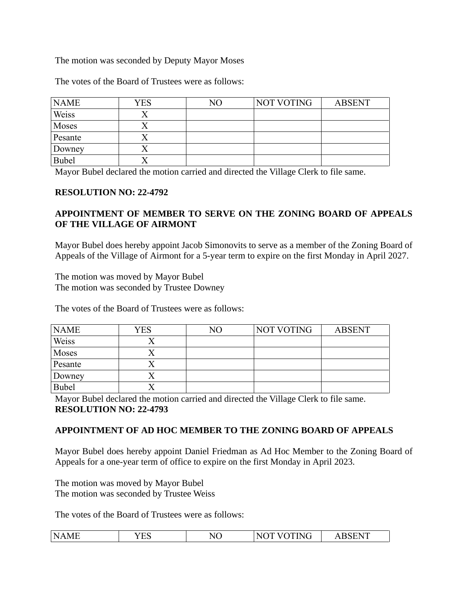# The motion was seconded by Deputy Mayor Moses

The votes of the Board of Trustees were as follows:

| <b>NAME</b>  | YES | NO | NOT VOTING | <b>ABSENT</b> |
|--------------|-----|----|------------|---------------|
| Weiss        |     |    |            |               |
| Moses        |     |    |            |               |
| Pesante      |     |    |            |               |
| Downey       |     |    |            |               |
| <b>Bubel</b> |     |    |            |               |

Mayor Bubel declared the motion carried and directed the Village Clerk to file same.

### **RESOLUTION NO: 22-4792**

# **APPOINTMENT OF MEMBER TO SERVE ON THE ZONING BOARD OF APPEALS OF THE VILLAGE OF AIRMONT**

Mayor Bubel does hereby appoint Jacob Simonovits to serve as a member of the Zoning Board of Appeals of the Village of Airmont for a 5-year term to expire on the first Monday in April 2027.

The motion was moved by Mayor Bubel The motion was seconded by Trustee Downey

The votes of the Board of Trustees were as follows:

| <b>NAME</b> | YES | NΟ | NOT VOTING | <b>ABSENT</b> |
|-------------|-----|----|------------|---------------|
| Weiss       |     |    |            |               |
| Moses       |     |    |            |               |
| Pesante     |     |    |            |               |
| Downey      |     |    |            |               |
| Bubel       |     |    |            |               |

Mayor Bubel declared the motion carried and directed the Village Clerk to file same. **RESOLUTION NO: 22-4793** 

# **APPOINTMENT OF AD HOC MEMBER TO THE ZONING BOARD OF APPEALS**

Mayor Bubel does hereby appoint Daniel Friedman as Ad Hoc Member to the Zoning Board of Appeals for a one-year term of office to expire on the first Monday in April 2023.

The motion was moved by Mayor Bubel The motion was seconded by Trustee Weiss

The votes of the Board of Trustees were as follows:

| N/<br>'AML | 7F S<br>ں نہ | NΟ | N <sub>f</sub><br>'NH<br>. | OCENT<br>`HN. |
|------------|--------------|----|----------------------------|---------------|
|------------|--------------|----|----------------------------|---------------|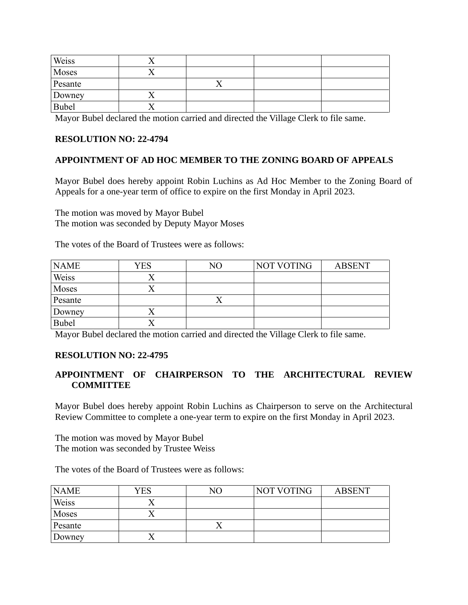| Weiss        |  |  |
|--------------|--|--|
| Moses        |  |  |
| Pesante      |  |  |
| Downey       |  |  |
| <b>Bubel</b> |  |  |

Mayor Bubel declared the motion carried and directed the Village Clerk to file same.

# **RESOLUTION NO: 22-4794**

# **APPOINTMENT OF AD HOC MEMBER TO THE ZONING BOARD OF APPEALS**

Mayor Bubel does hereby appoint Robin Luchins as Ad Hoc Member to the Zoning Board of Appeals for a one-year term of office to expire on the first Monday in April 2023.

The motion was moved by Mayor Bubel The motion was seconded by Deputy Mayor Moses

The votes of the Board of Trustees were as follows:

| <b>NAME</b>  | YES | NO | NOT VOTING | <b>ABSENT</b> |
|--------------|-----|----|------------|---------------|
| Weiss        |     |    |            |               |
| Moses        |     |    |            |               |
| Pesante      |     |    |            |               |
| Downey       |     |    |            |               |
| <b>Bubel</b> |     |    |            |               |

Mayor Bubel declared the motion carried and directed the Village Clerk to file same.

### **RESOLUTION NO: 22-4795**

# **APPOINTMENT OF CHAIRPERSON TO THE ARCHITECTURAL REVIEW COMMITTEE**

Mayor Bubel does hereby appoint Robin Luchins as Chairperson to serve on the Architectural Review Committee to complete a one-year term to expire on the first Monday in April 2023.

The motion was moved by Mayor Bubel The motion was seconded by Trustee Weiss

The votes of the Board of Trustees were as follows:

| <b>NAME</b> | <b>YES</b> | NO | NOT VOTING | <b>ABSENT</b> |
|-------------|------------|----|------------|---------------|
| Weiss       |            |    |            |               |
| Moses       |            |    |            |               |
| Pesante     |            |    |            |               |
| Downey      |            |    |            |               |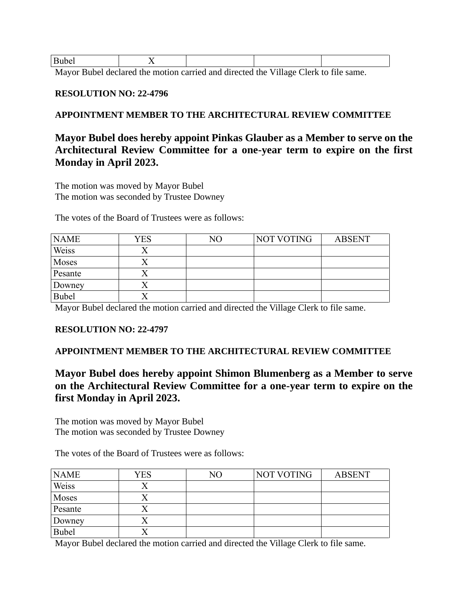| .<br>- - - - - |         |   |     |
|----------------|---------|---|-----|
| ___<br>_____   | .<br>__ | . | --- |

Mayor Bubel declared the motion carried and directed the Village Clerk to file same.

#### **RESOLUTION NO: 22-4796**

# **APPOINTMENT MEMBER TO THE ARCHITECTURAL REVIEW COMMITTEE**

# **Mayor Bubel does hereby appoint Pinkas Glauber as a Member to serve on the Architectural Review Committee for a one-year term to expire on the first Monday in April 2023.**

The motion was moved by Mayor Bubel The motion was seconded by Trustee Downey

The votes of the Board of Trustees were as follows:

| <b>NAME</b>  | YES | N <sub>O</sub> | NOT VOTING | <b>ABSENT</b> |
|--------------|-----|----------------|------------|---------------|
| Weiss        |     |                |            |               |
| Moses        |     |                |            |               |
| Pesante      |     |                |            |               |
| Downey       |     |                |            |               |
| <b>Bubel</b> |     |                |            |               |

Mayor Bubel declared the motion carried and directed the Village Clerk to file same.

### **RESOLUTION NO: 22-4797**

## **APPOINTMENT MEMBER TO THE ARCHITECTURAL REVIEW COMMITTEE**

# **Mayor Bubel does hereby appoint Shimon Blumenberg as a Member to serve on the Architectural Review Committee for a one-year term to expire on the first Monday in April 2023.**

The motion was moved by Mayor Bubel The motion was seconded by Trustee Downey

The votes of the Board of Trustees were as follows:

| <b>NAME</b>  | YES | NO | NOT VOTING | <b>ABSENT</b> |
|--------------|-----|----|------------|---------------|
| Weiss        |     |    |            |               |
| Moses        |     |    |            |               |
| Pesante      |     |    |            |               |
| Downey       | ↗   |    |            |               |
| <b>Bubel</b> |     |    |            |               |

Mayor Bubel declared the motion carried and directed the Village Clerk to file same.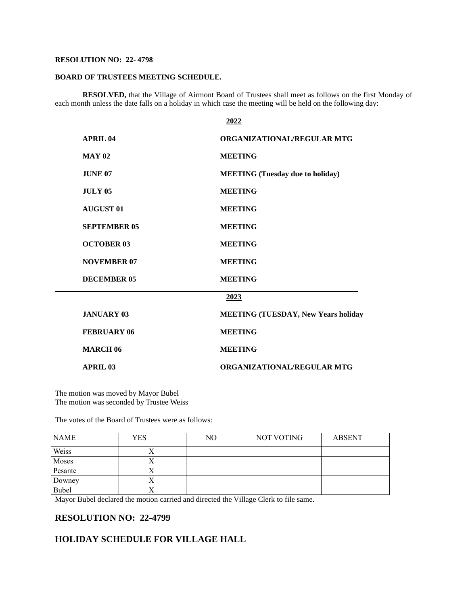#### **RESOLUTION NO: 22- 4798**

#### **BOARD OF TRUSTEES MEETING SCHEDULE.**

**RESOLVED,** that the Village of Airmont Board of Trustees shall meet as follows on the first Monday of each month unless the date falls on a holiday in which case the meeting will be held on the following day:

|                     | 2022                                       |
|---------------------|--------------------------------------------|
| <b>APRIL 04</b>     | <b>ORGANIZATIONAL/REGULAR MTG</b>          |
| <b>MAY 02</b>       | <b>MEETING</b>                             |
| JUNE 07             | <b>MEETING</b> (Tuesday due to holiday)    |
| <b>JULY 05</b>      | <b>MEETING</b>                             |
| <b>AUGUST 01</b>    | <b>MEETING</b>                             |
| <b>SEPTEMBER 05</b> | <b>MEETING</b>                             |
| <b>OCTOBER 03</b>   | <b>MEETING</b>                             |
| <b>NOVEMBER 07</b>  | <b>MEETING</b>                             |
| <b>DECEMBER 05</b>  | <b>MEETING</b>                             |
|                     | 2023                                       |
| <b>JANUARY 03</b>   | <b>MEETING (TUESDAY, New Years holiday</b> |
| <b>FEBRUARY 06</b>  | <b>MEETING</b>                             |
| <b>MARCH 06</b>     | <b>MEETING</b>                             |
| <b>APRIL 03</b>     | <b>ORGANIZATIONAL/REGULAR MTG</b>          |

The motion was moved by Mayor Bubel The motion was seconded by Trustee Weiss

The votes of the Board of Trustees were as follows:

| <b>NAME</b> | YES | NO | NOT VOTING | <b>ABSENT</b> |
|-------------|-----|----|------------|---------------|
| Weiss       |     |    |            |               |
| Moses       |     |    |            |               |
| Pesante     |     |    |            |               |
| Downey      | ∧   |    |            |               |
| Bubel       |     |    |            |               |

Mayor Bubel declared the motion carried and directed the Village Clerk to file same.

#### **RESOLUTION NO: 22-4799**

#### **HOLIDAY SCHEDULE FOR VILLAGE HALL**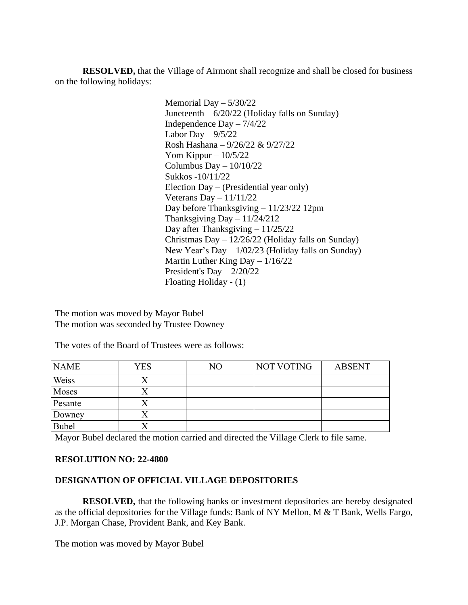**RESOLVED,** that the Village of Airmont shall recognize and shall be closed for business on the following holidays:

> Memorial Day – 5/30/22 Juneteenth – 6/20/22 (Holiday falls on Sunday) Independence Day – 7/4/22 Labor Day  $-9/5/22$ Rosh Hashana – 9/26/22 & 9/27/22 Yom Kippur –  $10/5/22$ Columbus Day – 10/10/22 Sukkos -10/11/22 Election Day – (Presidential year only) Veterans Day  $-11/11/22$ Day before Thanksgiving – 11/23/22 12pm Thanksgiving Day  $-11/24/212$ Day after Thanksgiving – 11/25/22 Christmas Day  $-12/26/22$  (Holiday falls on Sunday) New Year's Day – 1/02/23 (Holiday falls on Sunday) Martin Luther King Day – 1/16/22 President's Day – 2/20/22 Floating Holiday - (1)

The motion was moved by Mayor Bubel The motion was seconded by Trustee Downey

The votes of the Board of Trustees were as follows:

| <b>NAME</b> | <b>YES</b> | NO | NOT VOTING | <b>ABSENT</b> |
|-------------|------------|----|------------|---------------|
| Weiss       |            |    |            |               |
| Moses       |            |    |            |               |
| Pesante     |            |    |            |               |
| Downey      |            |    |            |               |
| Bubel       |            |    |            |               |

Mayor Bubel declared the motion carried and directed the Village Clerk to file same.

### **RESOLUTION NO: 22-4800**

# **DESIGNATION OF OFFICIAL VILLAGE DEPOSITORIES**

**RESOLVED,** that the following banks or investment depositories are hereby designated as the official depositories for the Village funds: Bank of NY Mellon, M & T Bank, Wells Fargo, J.P. Morgan Chase, Provident Bank, and Key Bank.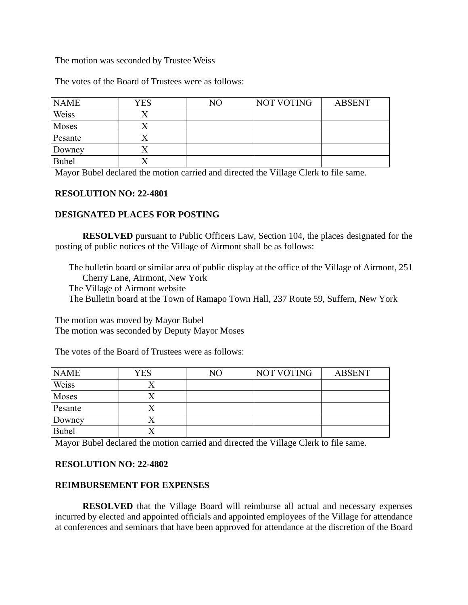#### The motion was seconded by Trustee Weiss

The votes of the Board of Trustees were as follows:

| <b>NAME</b>  | YES | NO | NOT VOTING | <b>ABSENT</b> |
|--------------|-----|----|------------|---------------|
| Weiss        |     |    |            |               |
| Moses        |     |    |            |               |
| Pesante      |     |    |            |               |
| Downey       |     |    |            |               |
| <b>Bubel</b> |     |    |            |               |

Mayor Bubel declared the motion carried and directed the Village Clerk to file same.

### **RESOLUTION NO: 22-4801**

### **DESIGNATED PLACES FOR POSTING**

**RESOLVED** pursuant to Public Officers Law, Section 104, the places designated for the posting of public notices of the Village of Airmont shall be as follows:

The bulletin board or similar area of public display at the office of the Village of Airmont, 251 Cherry Lane, Airmont, New York The Village of Airmont website The Bulletin board at the Town of Ramapo Town Hall, 237 Route 59, Suffern, New York

The motion was moved by Mayor Bubel The motion was seconded by Deputy Mayor Moses

The votes of the Board of Trustees were as follows:

| <b>NAME</b>  | <b>YES</b> | NO | NOT VOTING | <b>ABSENT</b> |
|--------------|------------|----|------------|---------------|
| Weiss        |            |    |            |               |
| Moses        |            |    |            |               |
| Pesante      |            |    |            |               |
| Downey       |            |    |            |               |
| <b>Bubel</b> |            |    |            |               |

Mayor Bubel declared the motion carried and directed the Village Clerk to file same.

## **RESOLUTION NO: 22-4802**

### **REIMBURSEMENT FOR EXPENSES**

**RESOLVED** that the Village Board will reimburse all actual and necessary expenses incurred by elected and appointed officials and appointed employees of the Village for attendance at conferences and seminars that have been approved for attendance at the discretion of the Board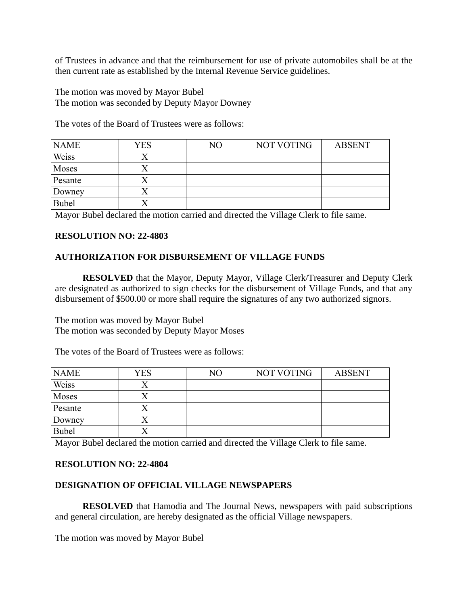of Trustees in advance and that the reimbursement for use of private automobiles shall be at the then current rate as established by the Internal Revenue Service guidelines.

The motion was moved by Mayor Bubel The motion was seconded by Deputy Mayor Downey

The votes of the Board of Trustees were as follows:

| <b>NAME</b>  | <b>YES</b> | NO | NOT VOTING | <b>ABSENT</b> |
|--------------|------------|----|------------|---------------|
| Weiss        |            |    |            |               |
| Moses        |            |    |            |               |
| Pesante      |            |    |            |               |
| Downey       |            |    |            |               |
| <b>Bubel</b> |            |    |            |               |

Mayor Bubel declared the motion carried and directed the Village Clerk to file same.

# **RESOLUTION NO: 22-4803**

# **AUTHORIZATION FOR DISBURSEMENT OF VILLAGE FUNDS**

**RESOLVED** that the Mayor, Deputy Mayor, Village Clerk/Treasurer and Deputy Clerk are designated as authorized to sign checks for the disbursement of Village Funds, and that any disbursement of \$500.00 or more shall require the signatures of any two authorized signors.

The motion was moved by Mayor Bubel The motion was seconded by Deputy Mayor Moses

The votes of the Board of Trustees were as follows:

| <b>NAME</b> | <b>YES</b> | NO | NOT VOTING | <b>ABSENT</b> |
|-------------|------------|----|------------|---------------|
| Weiss       |            |    |            |               |
| Moses       |            |    |            |               |
| Pesante     |            |    |            |               |
| Downey      |            |    |            |               |
| Bubel       |            |    |            |               |

Mayor Bubel declared the motion carried and directed the Village Clerk to file same.

### **RESOLUTION NO: 22-4804**

# **DESIGNATION OF OFFICIAL VILLAGE NEWSPAPERS**

**RESOLVED** that Hamodia and The Journal News, newspapers with paid subscriptions and general circulation, are hereby designated as the official Village newspapers.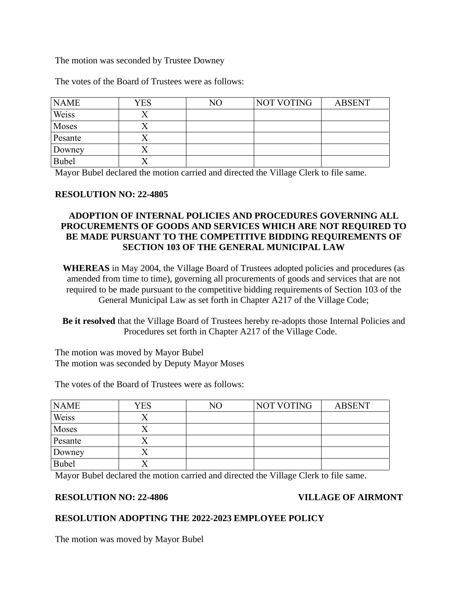The motion was seconded by Trustee Downey

The votes of the Board of Trustees were as follows:

| <b>NAME</b>  | <b>YES</b> | NO | NOT VOTING | <b>ABSENT</b> |
|--------------|------------|----|------------|---------------|
| Weiss        |            |    |            |               |
| Moses        |            |    |            |               |
| Pesante      |            |    |            |               |
| Downey       | ↗          |    |            |               |
| <b>Bubel</b> |            |    |            |               |

Mayor Bubel declared the motion carried and directed the Village Clerk to file same.

### **RESOLUTION NO: 22-4805**

# **ADOPTION OF INTERNAL POLICIES AND PROCEDURES GOVERNING ALL PROCUREMENTS OF GOODS AND SERVICES WHICH ARE NOT REQUIRED TO BE MADE PURSUANT TO THE COMPETITIVE BIDDING REQUIREMENTS OF SECTION 103 OF THE GENERAL MUNICIPAL LAW**

**WHEREAS** in May 2004, the Village Board of Trustees adopted policies and procedures (as amended from time to time), governing all procurements of goods and services that are not required to be made pursuant to the competitive bidding requirements of Section 103 of the General Municipal Law as set forth in Chapter A217 of the Village Code;

**Be it resolved** that the Village Board of Trustees hereby re-adopts those Internal Policies and Procedures set forth in Chapter A217 of the Village Code.

The motion was moved by Mayor Bubel The motion was seconded by Deputy Mayor Moses

The votes of the Board of Trustees were as follows:

| <b>NAME</b> | <b>YES</b> | NO | NOT VOTING | <b>ABSENT</b> |
|-------------|------------|----|------------|---------------|
| Weiss       |            |    |            |               |
| Moses       |            |    |            |               |
| Pesante     |            |    |            |               |
| Downey      |            |    |            |               |
| Bubel       |            |    |            |               |

Mayor Bubel declared the motion carried and directed the Village Clerk to file same.

### **RESOLUTION NO: 22-4806 VILLAGE OF AIRMONT**

## **RESOLUTION ADOPTING THE 2022-2023 EMPLOYEE POLICY**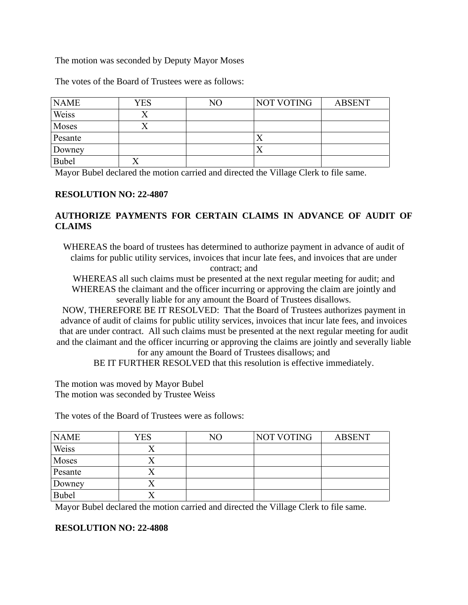## The motion was seconded by Deputy Mayor Moses

The votes of the Board of Trustees were as follows:

| <b>NAME</b> | <b>YES</b> | NO | NOT VOTING | <b>ABSENT</b> |
|-------------|------------|----|------------|---------------|
| Weiss       |            |    |            |               |
| Moses       |            |    |            |               |
| Pesante     |            |    |            |               |
| Downey      |            |    | $\Lambda$  |               |
| Bubel       |            |    |            |               |

Mayor Bubel declared the motion carried and directed the Village Clerk to file same.

#### **RESOLUTION NO: 22-4807**

# **AUTHORIZE PAYMENTS FOR CERTAIN CLAIMS IN ADVANCE OF AUDIT OF CLAIMS**

WHEREAS the board of trustees has determined to authorize payment in advance of audit of claims for public utility services, invoices that incur late fees, and invoices that are under contract; and

WHEREAS all such claims must be presented at the next regular meeting for audit; and WHEREAS the claimant and the officer incurring or approving the claim are jointly and severally liable for any amount the Board of Trustees disallows.

NOW, THEREFORE BE IT RESOLVED: That the Board of Trustees authorizes payment in advance of audit of claims for public utility services, invoices that incur late fees, and invoices that are under contract. All such claims must be presented at the next regular meeting for audit and the claimant and the officer incurring or approving the claims are jointly and severally liable for any amount the Board of Trustees disallows; and

BE IT FURTHER RESOLVED that this resolution is effective immediately.

The motion was moved by Mayor Bubel The motion was seconded by Trustee Weiss

The votes of the Board of Trustees were as follows:

| <b>NAME</b>  | YES | NO | NOT VOTING | <b>ABSENT</b> |
|--------------|-----|----|------------|---------------|
| Weiss        |     |    |            |               |
| Moses        |     |    |            |               |
| Pesante      |     |    |            |               |
| Downey       |     |    |            |               |
| <b>Bubel</b> |     |    |            |               |

Mayor Bubel declared the motion carried and directed the Village Clerk to file same.

# **RESOLUTION NO: 22-4808**